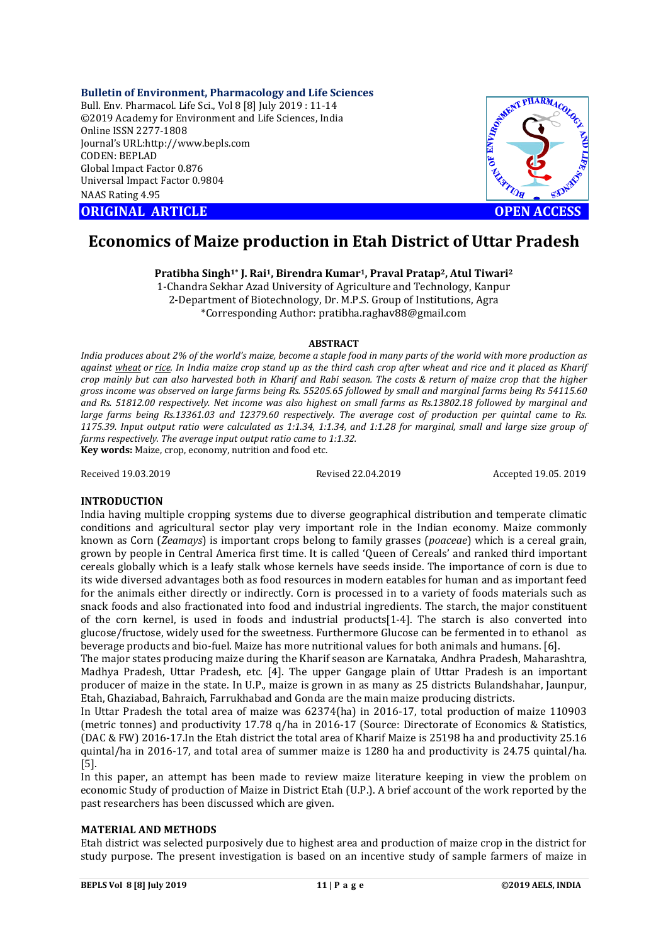**Bulletin of Environment, Pharmacology and Life Sciences**

Bull. Env. Pharmacol. Life Sci., Vol 8 [8] July 2019 : 11-14 ©2019 Academy for Environment and Life Sciences, India Online ISSN 2277-1808 Journal's URL:http://www.bepls.com CODEN: BEPLAD Global Impact Factor 0.876 Universal Impact Factor 0.9804 NAAS Rating 4.95

**ORIGINAL ARTICLE OPEN ACCESS** 



# **Economics of Maize production in Etah District of Uttar Pradesh**

**Pratibha Singh1\* J. Rai1, Birendra Kumar1, Praval Pratap2, Atul Tiwari2**

1-Chandra Sekhar Azad University of Agriculture and Technology, Kanpur 2-Department of Biotechnology, Dr. M.P.S. Group of Institutions, Agra \*Corresponding Author: pratibha.raghav88@gmail.com

## **ABSTRACT**

*India produces about 2% of the world's maize, become a staple food in many parts of the world with more production as against wheat or rice. In India maize crop stand up as the third cash crop after wheat and rice and it placed as Kharif crop mainly but can also harvested both in Kharif and Rabi season. The costs & return of maize crop that the higher gross income was observed on large farms being Rs. 55205.65 followed by small and marginal farms being Rs 54115.60 and Rs. 51812.00 respectively. Net income was also highest on small farms as Rs.13802.18 followed by marginal and large farms being Rs.13361.03 and 12379.60 respectively. The average cost of production per quintal came to Rs. 1175.39. Input output ratio were calculated as 1:1.34, 1:1.34, and 1:1.28 for marginal, small and large size group of farms respectively. The average input output ratio came to 1:1.32.* **Key words:** Maize, crop, economy, nutrition and food etc.

Received 19.03.2019 Revised 22.04.2019 Accepted 19.05. 2019

# **INTRODUCTION**

India having multiple cropping systems due to diverse geographical distribution and temperate climatic conditions and agricultural sector play very important role in the Indian economy. Maize commonly known as Corn (*Zeamays*) is important crops belong to family grasses (*poaceae*) which is a cereal grain, grown by people in Central America first time. It is called 'Queen of Cereals' and ranked third important cereals globally which is a leafy stalk whose kernels have seeds inside. The importance of corn is due to its wide diversed advantages both as food resources in modern eatables for human and as important feed for the animals either directly or indirectly. Corn is processed in to a variety of foods materials such as snack foods and also fractionated into food and industrial ingredients. The starch, the major constituent of the corn kernel, is used in foods and industrial products[1-4]. The starch is also converted into glucose/fructose, widely used for the sweetness. Furthermore Glucose can be fermented in to ethanol as beverage products and bio-fuel. Maize has more nutritional values for both animals and humans. [6].

The major states producing maize during the Kharif season are Karnataka, Andhra Pradesh, Maharashtra, Madhya Pradesh, Uttar Pradesh, etc. [4]. The upper Gangage plain of Uttar Pradesh is an important producer of maize in the state. In U.P., maize is grown in as many as 25 districts Bulandshahar, Jaunpur, Etah, Ghaziabad, Bahraich, Farrukhabad and Gonda are the main maize producing districts.

In Uttar Pradesh the total area of maize was 62374(ha) in 2016-17, total production of maize 110903 (metric tonnes) and productivity 17.78 q/ha in 2016-17 (Source: Directorate of Economics & Statistics, (DAC & FW) 2016-17.In the Etah district the total area of Kharif Maize is 25198 ha and productivity 25.16 quintal/ha in 2016-17, and total area of summer maize is 1280 ha and productivity is 24.75 quintal/ha. [5].

In this paper, an attempt has been made to review maize literature keeping in view the problem on economic Study of production of Maize in District Etah (U.P.). A brief account of the work reported by the past researchers has been discussed which are given.

# **MATERIAL AND METHODS**

Etah district was selected purposively due to highest area and production of maize crop in the district for study purpose. The present investigation is based on an incentive study of sample farmers of maize in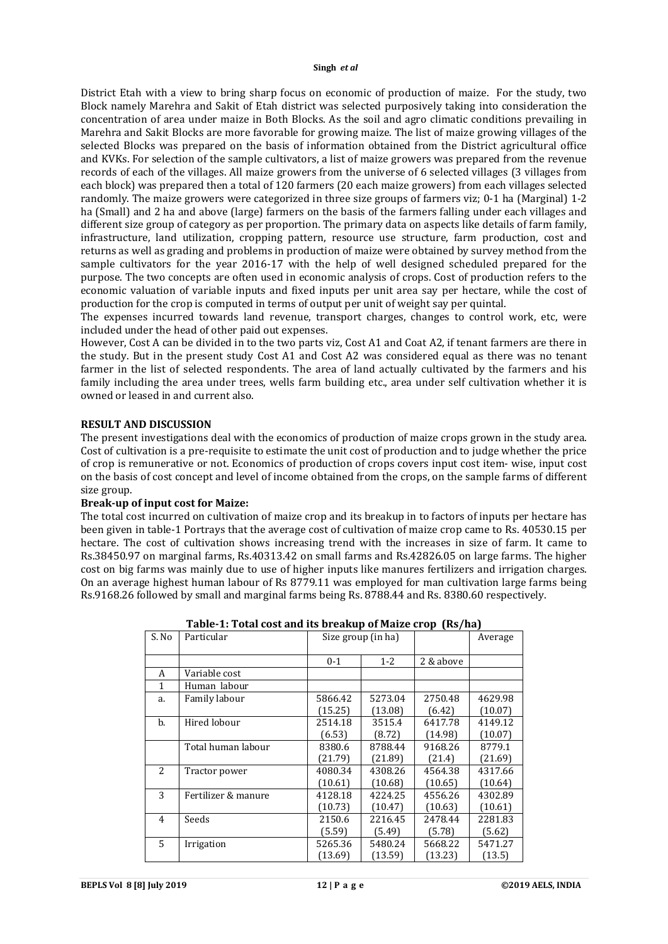#### **Singh** *et al*

District Etah with a view to bring sharp focus on economic of production of maize. For the study, two Block namely Marehra and Sakit of Etah district was selected purposively taking into consideration the concentration of area under maize in Both Blocks. As the soil and agro climatic conditions prevailing in Marehra and Sakit Blocks are more favorable for growing maize. The list of maize growing villages of the selected Blocks was prepared on the basis of information obtained from the District agricultural office and KVKs. For selection of the sample cultivators, a list of maize growers was prepared from the revenue records of each of the villages. All maize growers from the universe of 6 selected villages (3 villages from each block) was prepared then a total of 120 farmers (20 each maize growers) from each villages selected randomly. The maize growers were categorized in three size groups of farmers viz; 0-1 ha (Marginal) 1-2 ha (Small) and 2 ha and above (large) farmers on the basis of the farmers falling under each villages and different size group of category as per proportion. The primary data on aspects like details of farm family, infrastructure, land utilization, cropping pattern, resource use structure, farm production, cost and returns as well as grading and problems in production of maize were obtained by survey method from the sample cultivators for the year 2016-17 with the help of well designed scheduled prepared for the purpose. The two concepts are often used in economic analysis of crops. Cost of production refers to the economic valuation of variable inputs and fixed inputs per unit area say per hectare, while the cost of production for the crop is computed in terms of output per unit of weight say per quintal.

The expenses incurred towards land revenue, transport charges, changes to control work, etc, were included under the head of other paid out expenses.

However, Cost A can be divided in to the two parts viz, Cost A1 and Coat A2, if tenant farmers are there in the study. But in the present study Cost A1 and Cost A2 was considered equal as there was no tenant farmer in the list of selected respondents. The area of land actually cultivated by the farmers and his family including the area under trees, wells farm building etc., area under self cultivation whether it is owned or leased in and current also.

## **RESULT AND DISCUSSION**

The present investigations deal with the economics of production of maize crops grown in the study area. Cost of cultivation is a pre-requisite to estimate the unit cost of production and to judge whether the price of crop is remunerative or not. Economics of production of crops covers input cost item- wise, input cost on the basis of cost concept and level of income obtained from the crops, on the sample farms of different size group.

## **Break-up of input cost for Maize:**

The total cost incurred on cultivation of maize crop and its breakup in to factors of inputs per hectare has been given in table-1 Portrays that the average cost of cultivation of maize crop came to Rs. 40530.15 per hectare. The cost of cultivation shows increasing trend with the increases in size of farm. It came to Rs.38450.97 on marginal farms, Rs.40313.42 on small farms and Rs.42826.05 on large farms. The higher cost on big farms was mainly due to use of higher inputs like manures fertilizers and irrigation charges. On an average highest human labour of Rs 8779.11 was employed for man cultivation large farms being Rs.9168.26 followed by small and marginal farms being Rs. 8788.44 and Rs. 8380.60 respectively.

| S. No          | Particular          | Size group (in ha) |         |           | Average |
|----------------|---------------------|--------------------|---------|-----------|---------|
|                |                     |                    |         |           |         |
|                |                     | $0 - 1$            | $1 - 2$ | 2 & above |         |
| A              | Variable cost       |                    |         |           |         |
| 1              | Human labour        |                    |         |           |         |
| a.             | Family labour       | 5866.42            | 5273.04 | 2750.48   | 4629.98 |
|                |                     | (15.25)            | (13.08) | (6.42)    | (10.07) |
| b.             | Hired lobour        | 2514.18            | 3515.4  | 6417.78   | 4149.12 |
|                |                     | (6.53)             | (8.72)  | (14.98)   | (10.07) |
|                | Total human labour  | 8380.6             | 8788.44 | 9168.26   | 8779.1  |
|                |                     | (21.79)            | (21.89) | (21.4)    | (21.69) |
| $\overline{2}$ | Tractor power       | 4080.34            | 4308.26 | 4564.38   | 4317.66 |
|                |                     | (10.61)            | (10.68) | (10.65)   | (10.64) |
| 3              | Fertilizer & manure | 4128.18            | 4224.25 | 4556.26   | 4302.89 |
|                |                     | (10.73)            | (10.47) | (10.63)   | (10.61) |
| 4              | Seeds               | 2150.6             | 2216.45 | 2478.44   | 2281.83 |
|                |                     | (5.59)             | (5.49)  | (5.78)    | (5.62)  |
| 5              | Irrigation          | 5265.36            | 5480.24 | 5668.22   | 5471.27 |
|                |                     | (13.69)            | (13.59) | (13.23)   | (13.5)  |

| Table-1: Total cost and its breakup of Maize crop (Rs/ha) |  |  |
|-----------------------------------------------------------|--|--|
|-----------------------------------------------------------|--|--|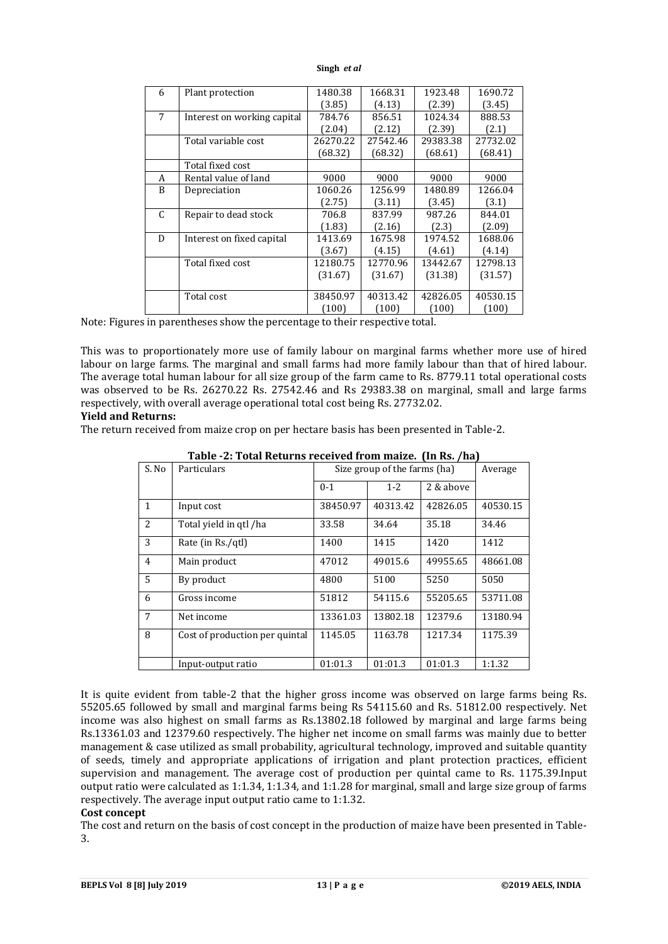#### **Singh** *et al*

| 6 | Plant protection            | 1480.38  | 1668.31  | 1923.48  | 1690.72  |
|---|-----------------------------|----------|----------|----------|----------|
|   |                             | (3.85)   | (4.13)   | (2.39)   | (3.45)   |
| 7 | Interest on working capital | 784.76   | 856.51   | 1024.34  | 888.53   |
|   |                             | (2.04)   | (2.12)   | (2.39)   | (2.1)    |
|   | Total variable cost         | 26270.22 | 27542.46 | 29383.38 | 27732.02 |
|   |                             | (68.32)  | (68.32)  | (68.61)  | (68.41)  |
|   | Total fixed cost            |          |          |          |          |
| A | Rental value of land        | 9000     | 9000     | 9000     | 9000     |
| B | Depreciation                | 1060.26  | 1256.99  | 1480.89  | 1266.04  |
|   |                             | (2.75)   | (3.11)   | (3.45)   | (3.1)    |
| C | Repair to dead stock        | 706.8    | 837.99   | 987.26   | 844.01   |
|   |                             | (1.83)   | (2.16)   | (2.3)    | (2.09)   |
| D | Interest on fixed capital   | 1413.69  | 1675.98  | 1974.52  | 1688.06  |
|   |                             | (3.67)   | (4.15)   | (4.61)   | (4.14)   |
|   | Total fixed cost            | 12180.75 | 12770.96 | 13442.67 | 12798.13 |
|   |                             | (31.67)  | (31.67)  | (31.38)  | (31.57)  |
|   |                             |          |          |          |          |
|   | Total cost                  | 38450.97 | 40313.42 | 42826.05 | 40530.15 |
|   |                             | (100)    | (100)    | (100)    | (100)    |

Note: Figures in parentheses show the percentage to their respective total.

This was to proportionately more use of family labour on marginal farms whether more use of hired labour on large farms. The marginal and small farms had more family labour than that of hired labour. The average total human labour for all size group of the farm came to Rs. 8779.11 total operational costs was observed to be Rs. 26270.22 Rs. 27542.46 and Rs 29383.38 on marginal, small and large farms respectively, with overall average operational total cost being Rs. 27732.02.

## **Yield and Returns:**

The return received from maize crop on per hectare basis has been presented in Table-2.

| S. No          | Particulars                    | Size group of the farms (ha) | Average  |           |          |
|----------------|--------------------------------|------------------------------|----------|-----------|----------|
|                |                                | $0 - 1$                      | $1 - 2$  | 2 & above |          |
| $\mathbf{1}$   | Input cost                     | 38450.97                     | 40313.42 | 42826.05  | 40530.15 |
| 2              | Total yield in qtl /ha         | 33.58                        | 34.64    | 35.18     | 34.46    |
| 3              | Rate (in Rs./qtl)              | 1400                         | 1415     | 1420      | 1412     |
| $\overline{4}$ | Main product                   | 47012                        | 49015.6  | 49955.65  | 48661.08 |
| 5              | By product                     | 4800                         | 5100     | 5250      | 5050     |
| 6              | Gross income                   | 51812                        | 54115.6  | 55205.65  | 53711.08 |
| 7              | Net income                     | 13361.03                     | 13802.18 | 12379.6   | 13180.94 |
| 8              | Cost of production per quintal | 1145.05                      | 1163.78  | 1217.34   | 1175.39  |
|                | Input-output ratio             | 01:01.3                      | 01:01.3  | 01:01.3   | 1:1.32   |

**Table -2: Total Returns received from maize. (In Rs. /ha)**

It is quite evident from table-2 that the higher gross income was observed on large farms being Rs. 55205.65 followed by small and marginal farms being Rs 54115.60 and Rs. 51812.00 respectively. Net income was also highest on small farms as Rs.13802.18 followed by marginal and large farms being Rs.13361.03 and 12379.60 respectively. The higher net income on small farms was mainly due to better management & case utilized as small probability, agricultural technology, improved and suitable quantity of seeds, timely and appropriate applications of irrigation and plant protection practices, efficient supervision and management. The average cost of production per quintal came to Rs. 1175.39.Input output ratio were calculated as 1:1.34, 1:1.34, and 1:1.28 for marginal, small and large size group of farms respectively. The average input output ratio came to 1:1.32.

## **Cost concept**

The cost and return on the basis of cost concept in the production of maize have been presented in Table-3.